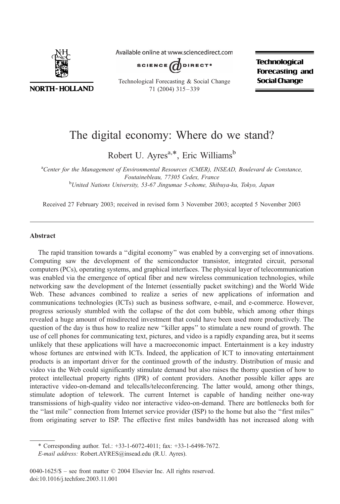

**NORTH-HOLLAND** 

Available online at www.sciencedirect.com

SCIENCE  $d$  DIRECT<sup>.</sup>

Technological Forecasting & Social Change 71 (2004) 315 – 339

**Technological Forecasting and Social Change** 

## The digital economy: Where do we stand?

Robert U. Ayres<sup>a,\*</sup>, Eric Williams<sup>b</sup>

<sup>a</sup>Center for the Management of Environmental Resources (CMER), INSEAD, Boulevard de Constance, Foutainebleau, 77305 Cedex, France<br><sup>b</sup>United Nations University, 53-67 Jingumae 5-chome, Shibuya-ku, Tokyo, Japan

Received 27 February 2003; received in revised form 3 November 2003; accepted 5 November 2003

## Abstract

The rapid transition towards a ''digital economy'' was enabled by a converging set of innovations. Computing saw the development of the semiconductor transistor, integrated circuit, personal computers (PCs), operating systems, and graphical interfaces. The physical layer of telecommunication was enabled via the emergence of optical fiber and new wireless communication technologies, while networking saw the development of the Internet (essentially packet switching) and the World Wide Web. These advances combined to realize a series of new applications of information and communications technologies (ICTs) such as business software, e-mail, and e-commerce. However, progress seriously stumbled with the collapse of the dot com bubble, which among other things revealed a huge amount of misdirected investment that could have been used more productively. The question of the day is thus how to realize new "killer apps" to stimulate a new round of growth. The use of cell phones for communicating text, pictures, and video is a rapidly expanding area, but it seems unlikely that these applications will have a macroeconomic impact. Entertainment is a key industry whose fortunes are entwined with ICTs. Indeed, the application of ICT to innovating entertainment products is an important driver for the continued growth of the industry. Distribution of music and video via the Web could significantly stimulate demand but also raises the thorny question of how to protect intellectual property rights (IPR) of content providers. Another possible killer apps are interactive video-on-demand and telecalls/teleconferencing. The latter would, among other things, stimulate adoption of telework. The current Internet is capable of handing neither one-way transmissions of high-quality video nor interactive video-on-demand. There are bottlenecks both for the ''last mile'' connection from Internet service provider (ISP) to the home but also the ''first miles'' from originating server to ISP. The effective first miles bandwidth has not increased along with

<sup>\*</sup> Corresponding author. Tel.: +33-1-6072-4011; fax: +33-1-6498-7672.

E-mail address: Robert.AYRES@insead.edu (R.U. Ayres).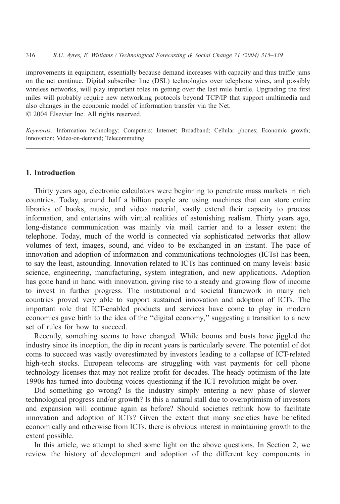improvements in equipment, essentially because demand increases with capacity and thus traffic jams on the net continue. Digital subscriber line (DSL) technologies over telephone wires, and possibly wireless networks, will play important roles in getting over the last mile hurdle. Upgrading the first miles will probably require new networking protocols beyond TCP/IP that support multimedia and also changes in the economic model of information transfer via the Net.  $\odot$  2004 Elsevier Inc. All rights reserved.

Keywords: Information technology; Computers; Internet; Broadband; Cellular phones; Economic growth; Innovation; Video-on-demand; Telecommuting

## 1. Introduction

Thirty years ago, electronic calculators were beginning to penetrate mass markets in rich countries. Today, around half a billion people are using machines that can store entire libraries of books, music, and video material, vastly extend their capacity to process information, and entertains with virtual realities of astonishing realism. Thirty years ago, long-distance communication was mainly via mail carrier and to a lesser extent the telephone. Today, much of the world is connected via sophisticated networks that allow volumes of text, images, sound, and video to be exchanged in an instant. The pace of innovation and adoption of information and communications technologies (ICTs) has been, to say the least, astounding. Innovation related to ICTs has continued on many levels: basic science, engineering, manufacturing, system integration, and new applications. Adoption has gone hand in hand with innovation, giving rise to a steady and growing flow of income to invest in further progress. The institutional and societal framework in many rich countries proved very able to support sustained innovation and adoption of ICTs. The important role that ICT-enabled products and services have come to play in modern economies gave birth to the idea of the ''digital economy,'' suggesting a transition to a new set of rules for how to succeed.

Recently, something seems to have changed. While booms and busts have jiggled the industry since its inception, the dip in recent years is particularly severe. The potential of dot coms to succeed was vastly overestimated by investors leading to a collapse of ICT-related high-tech stocks. European telecoms are struggling with vast payments for cell phone technology licenses that may not realize profit for decades. The heady optimism of the late 1990s has turned into doubting voices questioning if the ICT revolution might be over.

Did something go wrong? Is the industry simply entering a new phase of slower technological progress and/or growth? Is this a natural stall due to overoptimism of investors and expansion will continue again as before? Should societies rethink how to facilitate innovation and adoption of ICTs? Given the extent that many societies have benefited economically and otherwise from ICTs, there is obvious interest in maintaining growth to the extent possible.

In this article, we attempt to shed some light on the above questions. In Section 2, we review the history of development and adoption of the different key components in